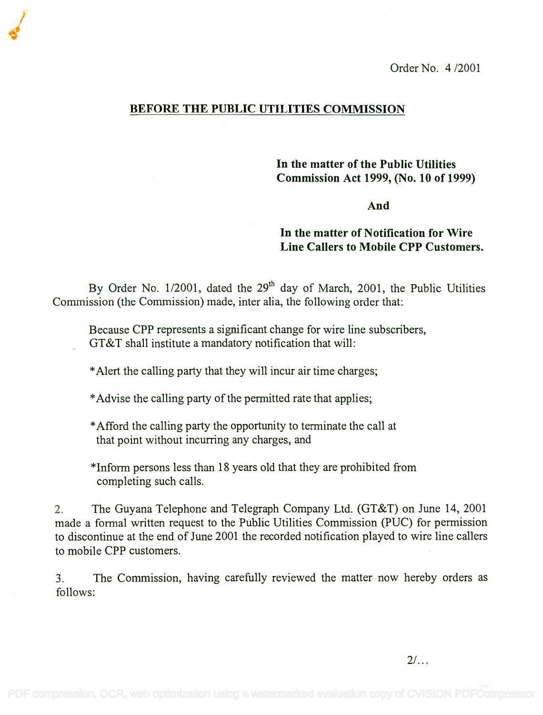Order No. 4 /2001

## BEFORE THE PUBLIC UTILITIES COMMISSION

In the matter of the Public Utilities **In the matter of the Public Utilities** Commission Act 1999, (No. 10 of 1999) **Commission Act 1999, (No. 10 of 1999)**

And

## In the matter of Notification for Wire **In the matter of Notification for Wire** Line Callers to Mobile CPP Customers. **Line Callers to Mobile CPP Customers.**

By Order No. 1/2001, dated the 29<sup>th</sup> day of March, 2001, the Public Utilities Commission (the Commission) made, inter alia, the following order that: Commission (the Commission) made, inter alia, the following order that:

Because CPP represents a significant change for wire line subscribers, Because CPP represents a significant change for wire line subscribers, GT&T shall institute a mandatory notification that will: GT&T shall institute a mandatory notification that will:

\*Alert the calling party that they will incur air time charges;

\*Advise the calling party of the permitted rate that applies;

\*Afford the calling party the opportunity to terminate the call at \*Afford the calling party the opportunity to terminate the call at that point without incurring any charges, and that point without incurring any charges, and

\*Inform persons less than 18 years old that they are prohibited from \*Inform persons less than 18 years old that they are prohibited from completing such calls. completing such calls.

2. The Guyana Telephone and Telegraph Company Ltd. (GT&T) on June 14, 2001 2. The Guyana Telephone and Telegraph Company Ltd. (GT&T) on June 14, 2001 made a formal written request to the Public Utilities Commission (PUC) for permission made a formal written request to the Public Utilities Commission (PUC) for permission to discontinue at the end of June 2001 the recorded notification played to wire line callers to discontinue at the end of June 2001 the recorded notification played to wire line callers to mobile CPP customers. to mobile CPP customers.

3. The Commission, having carefully reviewed the matter now hereby orders as 3. The Commission, having carefully reviewed the matter now hereby orders as follows: follows: